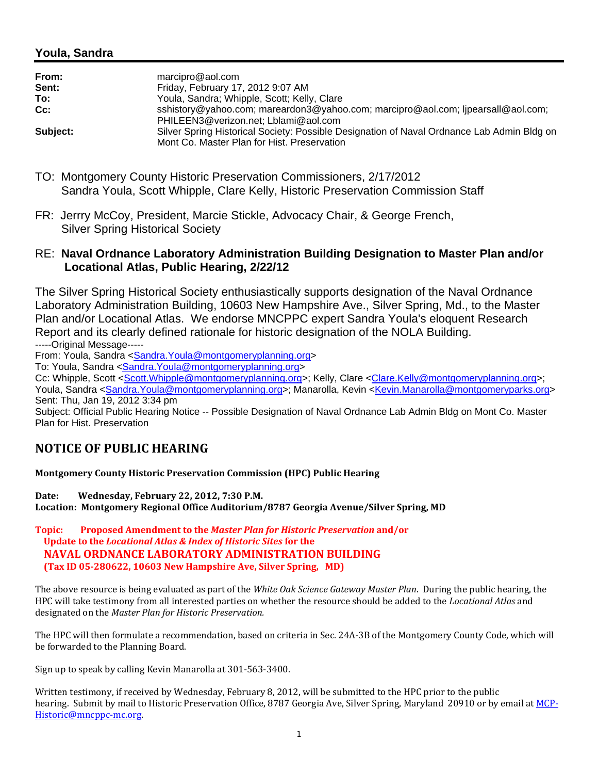## **Youla, Sandra**

| From:    | marcipro@aol.com                                                                                                                          |
|----------|-------------------------------------------------------------------------------------------------------------------------------------------|
| Sent:    | Friday, February 17, 2012 9:07 AM                                                                                                         |
| To:      | Youla, Sandra; Whipple, Scott; Kelly, Clare                                                                                               |
| Cc:      | sshistory@yahoo.com; mareardon3@yahoo.com; marcipro@aol.com; lipearsall@aol.com;<br>PHILEEN3@verizon.net; Lblami@aol.com                  |
| Subject: | Silver Spring Historical Society: Possible Designation of Naval Ordnance Lab Admin Bldg on<br>Mont Co. Master Plan for Hist. Preservation |

- TO: Montgomery County Historic Preservation Commissioners, 2/17/2012 Sandra Youla, Scott Whipple, Clare Kelly, Historic Preservation Commission Staff
- FR: Jerrry McCoy, President, Marcie Stickle, Advocacy Chair, & George French, Silver Spring Historical Society

## RE: **Naval Ordnance Laboratory Administration Building Designation to Master Plan and/or Locational Atlas, Public Hearing, 2/22/12**

The Silver Spring Historical Society enthusiastically supports designation of the Naval Ordnance Laboratory Administration Building, 10603 New Hampshire Ave., Silver Spring, Md., to the Master Plan and/or Locational Atlas. We endorse MNCPPC expert Sandra Youla's eloquent Research Report and its clearly defined rationale for historic designation of the NOLA Building.

-----Original Message-----

From: Youla, Sandra <Sandra.Youla@montgomeryplanning.org>

To: Youla, Sandra <Sandra.Youla@montgomeryplanning.org>

Cc: Whipple, Scott <Scott.Whipple@montgomeryplanning.org>; Kelly, Clare <Clare.Kelly@montgomeryplanning.org>; Youla, Sandra <Sandra.Youla@montgomeryplanning.org>; Manarolla, Kevin <Kevin.Manarolla@montgomeryparks.org>

Sent: Thu, Jan 19, 2012 3:34 pm

Subject: Official Public Hearing Notice -- Possible Designation of Naval Ordnance Lab Admin Bldg on Mont Co. Master Plan for Hist. Preservation

## **NOTICE OF PUBLIC HEARING**

**Montgomery County Historic Preservation Commission (HPC) Public Hearing**

**Date:** Wednesday, February 22, 2012, 7:30 P.M.

**Location: Montgomery Regional Office Auditorium/8787 Georgia Avenue/Silver Spring, MD**

**Topic: Proposed Amendment to the** *Master Plan for Historic Preservation* **and/or Update to the** *Locational Atlas & Index of Historic Sites* **for the NAVAL ORDNANCE LABORATORY ADMINISTRATION BUILDING (Tax ID 05‐280622, 10603 New Hampshire Ave, Silver Spring, MD)**

The above resource is being evaluated as part of the *White Oak Science Gateway Master Plan*. During the public hearing, the HPC will take testimony from all interested parties on whether the resource should be added to the *Locational Atlas* and designated on the Master Plan for Historic Preservation.

The HPC will then formulate a recommendation, based on criteria in Sec. 24A-3B of the Montgomery County Code, which will be forwarded to the Planning Board.

Sign up to speak by calling Kevin Manarolla at 301-563-3400.

Written testimony, if received by Wednesday, February 8, 2012, will be submitted to the HPC prior to the public hearing. Submit by mail to Historic Preservation Office, 8787 Georgia Ave, Silver Spring, Maryland 20910 or by email at MCP-Historic@mncppc-mc.org.